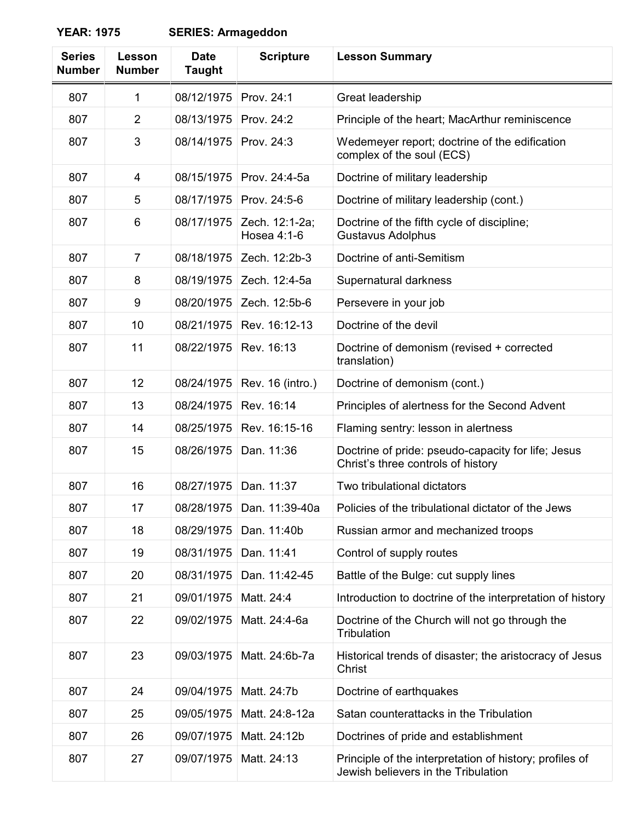## **YEAR: 1975 SERIES: Armageddon**

| <b>Series</b><br><b>Number</b> | Lesson<br><b>Number</b> | <b>Date</b><br><b>Taught</b> | <b>Scripture</b>              | <b>Lesson Summary</b>                                                                          |
|--------------------------------|-------------------------|------------------------------|-------------------------------|------------------------------------------------------------------------------------------------|
| 807                            | $\mathbf{1}$            | 08/12/1975                   | Prov. 24:1                    | Great leadership                                                                               |
| 807                            | $\overline{2}$          | 08/13/1975                   | Prov. 24:2                    | Principle of the heart; MacArthur reminiscence                                                 |
| 807                            | 3                       | 08/14/1975                   | Prov. 24:3                    | Wedemeyer report; doctrine of the edification<br>complex of the soul (ECS)                     |
| 807                            | 4                       | 08/15/1975                   | Prov. 24:4-5a                 | Doctrine of military leadership                                                                |
| 807                            | 5                       | 08/17/1975                   | Prov. 24:5-6                  | Doctrine of military leadership (cont.)                                                        |
| 807                            | 6                       | 08/17/1975                   | Zech. 12:1-2a;<br>Hosea 4:1-6 | Doctrine of the fifth cycle of discipline;<br><b>Gustavus Adolphus</b>                         |
| 807                            | $\overline{7}$          | 08/18/1975                   | Zech. 12:2b-3                 | Doctrine of anti-Semitism                                                                      |
| 807                            | 8                       | 08/19/1975                   | Zech. 12:4-5a                 | Supernatural darkness                                                                          |
| 807                            | 9                       | 08/20/1975                   | Zech. 12:5b-6                 | Persevere in your job                                                                          |
| 807                            | 10                      | 08/21/1975                   | Rev. 16:12-13                 | Doctrine of the devil                                                                          |
| 807                            | 11                      | 08/22/1975                   | Rev. 16:13                    | Doctrine of demonism (revised + corrected<br>translation)                                      |
| 807                            | 12                      | 08/24/1975                   | Rev. 16 (intro.)              | Doctrine of demonism (cont.)                                                                   |
| 807                            | 13                      | 08/24/1975                   | Rev. 16:14                    | Principles of alertness for the Second Advent                                                  |
| 807                            | 14                      | 08/25/1975                   | Rev. 16:15-16                 | Flaming sentry: lesson in alertness                                                            |
| 807                            | 15                      | 08/26/1975                   | Dan. 11:36                    | Doctrine of pride: pseudo-capacity for life; Jesus<br>Christ's three controls of history       |
| 807                            | 16                      | 08/27/1975                   | Dan. 11:37                    | Two tribulational dictators                                                                    |
| 807                            | 17                      |                              | 08/28/1975   Dan. 11:39-40a   | Policies of the tribulational dictator of the Jews                                             |
| 807                            | 18                      | 08/29/1975                   | Dan. 11:40b                   | Russian armor and mechanized troops                                                            |
| 807                            | 19                      | 08/31/1975                   | Dan. 11:41                    | Control of supply routes                                                                       |
| 807                            | 20                      | 08/31/1975                   | Dan. 11:42-45                 | Battle of the Bulge: cut supply lines                                                          |
| 807                            | 21                      | 09/01/1975                   | Matt. 24:4                    | Introduction to doctrine of the interpretation of history                                      |
| 807                            | 22                      | 09/02/1975                   | Matt. 24:4-6a                 | Doctrine of the Church will not go through the<br>Tribulation                                  |
| 807                            | 23                      | 09/03/1975                   | Matt. 24:6b-7a                | Historical trends of disaster; the aristocracy of Jesus<br>Christ                              |
| 807                            | 24                      | 09/04/1975                   | Matt. 24:7b                   | Doctrine of earthquakes                                                                        |
| 807                            | 25                      | 09/05/1975                   | Matt. 24:8-12a                | Satan counterattacks in the Tribulation                                                        |
| 807                            | 26                      | 09/07/1975                   | Matt. 24:12b                  | Doctrines of pride and establishment                                                           |
| 807                            | 27                      | 09/07/1975                   | Matt. 24:13                   | Principle of the interpretation of history; profiles of<br>Jewish believers in the Tribulation |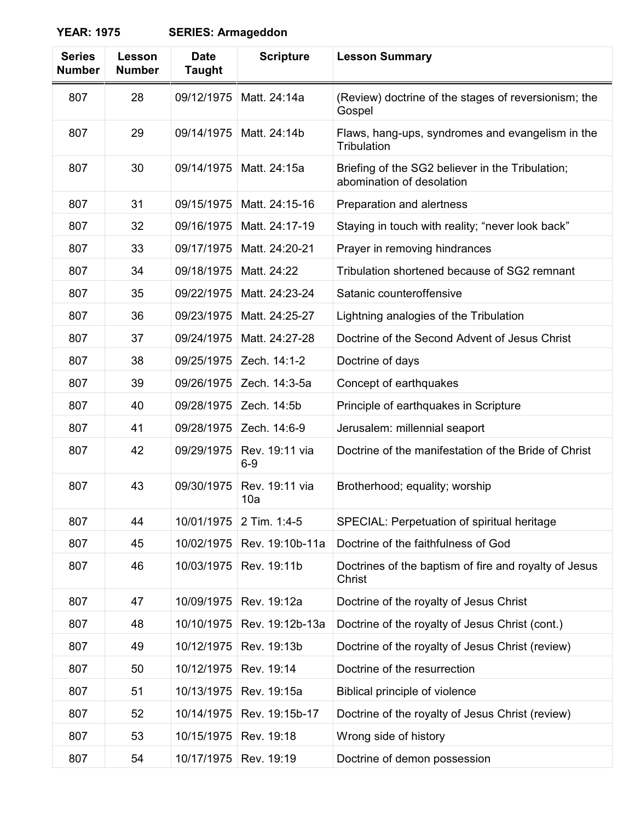## **YEAR: 1975 SERIES: Armageddon**

| <b>Series</b><br><b>Number</b> | Lesson<br><b>Number</b> | <b>Date</b><br><b>Taught</b> | <b>Scripture</b>        | <b>Lesson Summary</b>                                                         |
|--------------------------------|-------------------------|------------------------------|-------------------------|-------------------------------------------------------------------------------|
| 807                            | 28                      | 09/12/1975                   | Matt. 24:14a            | (Review) doctrine of the stages of reversionism; the<br>Gospel                |
| 807                            | 29                      | 09/14/1975                   | Matt. 24:14b            | Flaws, hang-ups, syndromes and evangelism in the<br>Tribulation               |
| 807                            | 30                      | 09/14/1975                   | Matt. 24:15a            | Briefing of the SG2 believer in the Tribulation;<br>abomination of desolation |
| 807                            | 31                      | 09/15/1975                   | Matt. 24:15-16          | Preparation and alertness                                                     |
| 807                            | 32                      | 09/16/1975                   | Matt. 24:17-19          | Staying in touch with reality; "never look back"                              |
| 807                            | 33                      | 09/17/1975                   | Matt. 24:20-21          | Prayer in removing hindrances                                                 |
| 807                            | 34                      | 09/18/1975                   | Matt. 24:22             | Tribulation shortened because of SG2 remnant                                  |
| 807                            | 35                      | 09/22/1975                   | Matt. 24:23-24          | Satanic counteroffensive                                                      |
| 807                            | 36                      | 09/23/1975                   | Matt. 24:25-27          | Lightning analogies of the Tribulation                                        |
| 807                            | 37                      | 09/24/1975                   | Matt. 24:27-28          | Doctrine of the Second Advent of Jesus Christ                                 |
| 807                            | 38                      | 09/25/1975                   | Zech. 14:1-2            | Doctrine of days                                                              |
| 807                            | 39                      | 09/26/1975                   | Zech. 14:3-5a           | Concept of earthquakes                                                        |
| 807                            | 40                      | 09/28/1975                   | Zech. 14:5b             | Principle of earthquakes in Scripture                                         |
| 807                            | 41                      | 09/28/1975                   | Zech. 14:6-9            | Jerusalem: millennial seaport                                                 |
| 807                            | 42                      | 09/29/1975                   | Rev. 19:11 via<br>$6-9$ | Doctrine of the manifestation of the Bride of Christ                          |
| 807                            | 43                      | 09/30/1975                   | Rev. 19:11 via<br>10a   | Brotherhood; equality; worship                                                |
| 807                            | 44                      | 10/01/1975                   | 2 Tim. 1:4-5            | SPECIAL: Perpetuation of spiritual heritage                                   |
| 807                            | 45                      | 10/02/1975                   | Rev. 19:10b-11a         | Doctrine of the faithfulness of God                                           |
| 807                            | 46                      | 10/03/1975                   | Rev. 19:11b             | Doctrines of the baptism of fire and royalty of Jesus<br>Christ               |
| 807                            | 47                      | 10/09/1975                   | Rev. 19:12a             | Doctrine of the royalty of Jesus Christ                                       |
| 807                            | 48                      | 10/10/1975                   | Rev. 19:12b-13a         | Doctrine of the royalty of Jesus Christ (cont.)                               |
| 807                            | 49                      | 10/12/1975                   | Rev. 19:13b             | Doctrine of the royalty of Jesus Christ (review)                              |
| 807                            | 50                      | 10/12/1975                   | Rev. 19:14              | Doctrine of the resurrection                                                  |
| 807                            | 51                      | 10/13/1975                   | Rev. 19:15a             | Biblical principle of violence                                                |
| 807                            | 52                      | 10/14/1975                   | Rev. 19:15b-17          | Doctrine of the royalty of Jesus Christ (review)                              |
| 807                            | 53                      | 10/15/1975                   | Rev. 19:18              | Wrong side of history                                                         |
| 807                            | 54                      | 10/17/1975                   | Rev. 19:19              | Doctrine of demon possession                                                  |